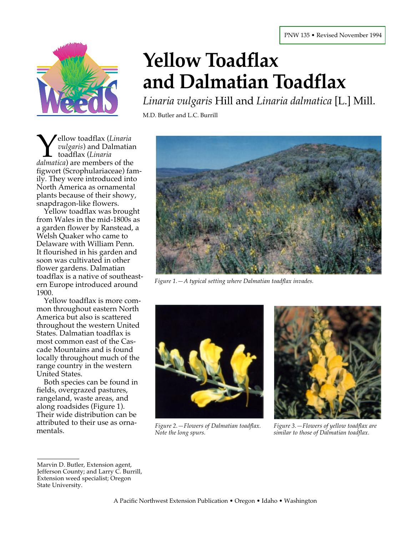

**Y**ellow toadflax (*Linaria* vulgaris) and Dalmatian (*Linaria* dalmatica) are members of the *vulgaris*) and Dalmatian toadflax (*Linaria* figwort (Scrophulariaceae) family. They were introduced into North America as ornamental plants because of their showy, snapdragon-like flowers.

Yellow toadflax was brought from Wales in the mid-1800s as a garden flower by Ranstead, a Welsh Quaker who came to Delaware with William Penn. It flourished in his garden and soon was cultivated in other flower gardens. Dalmatian toadflax is a native of southeastern Europe introduced around 1900.

Yellow toadflax is more common throughout eastern North America but also is scattered throughout the western United States. Dalmatian toadflax is most common east of the Cascade Mountains and is found locally throughout much of the range country in the western United States.

Both species can be found in fields, overgrazed pastures, rangeland, waste areas, and along roadsides (Figure 1). Their wide distribution can be attributed to their use as ornamentals.

# **Yellow Toadflax and Dalmatian Toadflax**

*Linaria vulgaris* Hill and *Linaria dalmatica* [L.] Mill.

M.D. Butler and L.C. Burrill



*Figure 1.—A typical setting where Dalmatian toadflax invades.*



*Figure 2.—Flowers of Dalmatian toadflax. Note the long spurs.*



*Figure 3.—Flowers of yellow toadflax are similar to those of Dalmatian toadflax.*

Marvin D. Butler, Extension agent, Jefferson County; and Larry C. Burrill, Extension weed specialist; Oregon State University.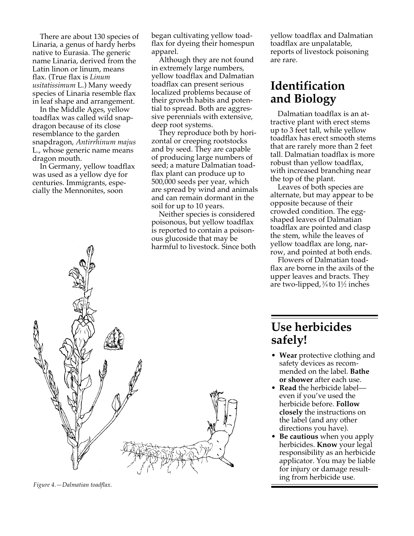There are about 130 species of Linaria, a genus of hardy herbs native to Eurasia. The generic name Linaria, derived from the Latin linon or linum, means flax. (True flax is *Linum usitatissimum* L.) Many weedy species of Linaria resemble flax in leaf shape and arrangement.

In the Middle Ages, yellow toadflax was called wild snapdragon because of its close resemblance to the garden snapdragon, *Antirrhinum majus* L., whose generic name means dragon mouth.

In Germany, yellow toadflax was used as a yellow dye for centuries. Immigrants, especially the Mennonites, soon

began cultivating yellow toadflax for dyeing their homespun apparel.

Although they are not found in extremely large numbers, yellow toadflax and Dalmatian toadflax can present serious localized problems because of their growth habits and potential to spread. Both are aggressive perennials with extensive, deep root systems.

They reproduce both by horizontal or creeping rootstocks and by seed. They are capable of producing large numbers of seed; a mature Dalmatian toadflax plant can produce up to 500,000 seeds per year, which are spread by wind and animals and can remain dormant in the soil for up to 10 years.

Neither species is considered poisonous, but yellow toadflax is reported to contain a poisonous glucoside that may be harmful to livestock. Since both yellow toadflax and Dalmatian toadflax are unpalatable, reports of livestock poisoning are rare.

# **Identification and Biology**

Dalmatian toadflax is an attractive plant with erect stems up to 3 feet tall, while yellow toadflax has erect smooth stems that are rarely more than 2 feet tall. Dalmatian toadflax is more robust than yellow toadflax, with increased branching near the top of the plant.

Leaves of both species are alternate, but may appear to be opposite because of their crowded condition. The eggshaped leaves of Dalmatian toadflax are pointed and clasp the stem, while the leaves of yellow toadflax are long, narrow, and pointed at both ends.

Flowers of Dalmatian toadflax are borne in the axils of the upper leaves and bracts. They are two-lipped,  $\frac{3}{4}$  to  $1\frac{1}{2}$  inches

## **Use herbicides safely!**

- **Wear** protective clothing and safety devices as recommended on the label. **Bathe or shower** after each use.
- **Read** the herbicide label even if you've used the herbicide before. **Follow closely** the instructions on the label (and any other directions you have).
- **Be cautious** when you apply herbicides. **Know** your legal responsibility as an herbicide applicator. You may be liable for injury or damage resulting from herbicide use.



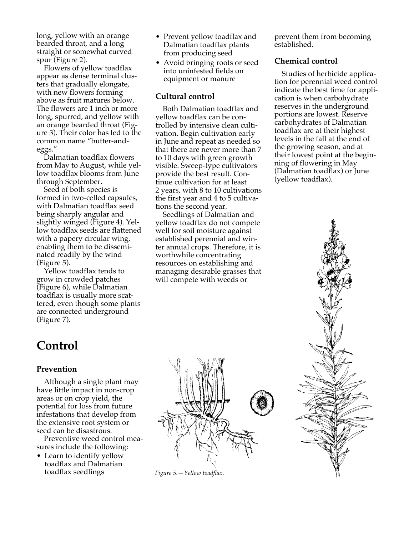long, yellow with an orange bearded throat, and a long straight or somewhat curved spur (Figure 2).

Flowers of yellow toadflax appear as dense terminal clusters that gradually elongate, with new flowers forming above as fruit matures below. The flowers are 1 inch or more long, spurred, and yellow with an orange bearded throat (Figure 3). Their color has led to the common name "butter-andeggs."

Dalmatian toadflax flowers from May to August, while yellow toadflax blooms from June through September.

Seed of both species is formed in two-celled capsules, with Dalmatian toadflax seed being sharply angular and slightly winged (Figure 4). Yellow toadflax seeds are flattened with a papery circular wing, enabling them to be disseminated readily by the wind (Figure 5).

Yellow toadflax tends to grow in crowded patches (Figure 6), while Dalmatian toadflax is usually more scattered, even though some plants are connected underground (Figure 7).

#### • Prevent yellow toadflax and Dalmatian toadflax plants from producing seed

• Avoid bringing roots or seed into uninfested fields on equipment or manure

## **Cultural control**

Both Dalmatian toadflax and yellow toadflax can be controlled by intensive clean cultivation. Begin cultivation early in June and repeat as needed so that there are never more than 7 to 10 days with green growth visible. Sweep-type cultivators provide the best result. Continue cultivation for at least 2 years, with 8 to 10 cultivations the first year and 4 to 5 cultivations the second year.

Seedlings of Dalmatian and yellow toadflax do not compete well for soil moisture against established perennial and winter annual crops. Therefore, it is worthwhile concentrating resources on establishing and managing desirable grasses that will compete with weeds or

prevent them from becoming established.

## **Chemical control**

Studies of herbicide application for perennial weed control indicate the best time for application is when carbohydrate reserves in the underground portions are lowest. Reserve carbohydrates of Dalmatian toadflax are at their highest levels in the fall at the end of the growing season, and at their lowest point at the beginning of flowering in May (Dalmatian toadflax) or June (yellow toadflax).



## **Control**

#### **Prevention**

Although a single plant may have little impact in non-crop areas or on crop yield, the potential for loss from future infestations that develop from the extensive root system or seed can be disastrous.

Preventive weed control measures include the following:

• Learn to identify yellow toadflax and Dalmatian toadflax seedlings



*Figure 5.—Yellow toadflax.*